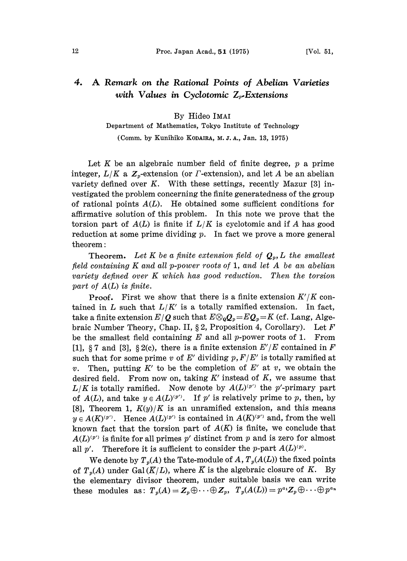# 4. A Remark on the Rational Points of Abelian Varieties with Values in Cyclotomic  $Z_{r}$ -Extensions

### By Hideo IMAI

# Department of Mathematics, Tokyo Institute of Technology

(Comm. by Kunihiko KODAIRA, M. J. A., Jan. 13, 1975)

Let K be an algebraic number field of finite degree,  $p$  a prime integer,  $L/K$  a  $\mathbb{Z}_p$ -extension (or  $\Gamma$ -extension), and let A be an abelian variety defined over  $K$ . With these settings, recently Mazur [3] investigated the problem concerning the finite generatedness of the group of rational points  $A(L)$ . He obtained some sufficient conditions for affirmative solution of this problem. In this note we prove that the torsion part of  $A(L)$  is finite if  $L/K$  is cyclotomic and if A has good reduction at some prime dividing  $p$ . In fact we prove a more general theorem:

**Theorem.** Let K be a finite extension field of  $Q_p$ , L the smallest field containing K and all p-power roots of 1, and let A be an abelian variety defined over K which has good reduction. Then the torsion part of A(L) is finite.

**Proof.** First we show that there is a finite extension  $K'/K$  contained in L such that  $L/K'$  is a totally ramified extension. In fact,<br>take a finite extension  $E/Q$  such that  $E \otimes_{Q} Q_{p} = EQ_{p} = K$  (cf. Lang, Alge-<br>husia Number Theory, Chan, H, 8.2, Proposition 4, Corollary). Let  $F$ braic Number Theory, Chap. II, § 2, Proposition 4, Corollary). Let  $F$ be the smallest field containing  $E$  and all p-power roots of 1. From [1], § 7 and [3], § 2(c), there is a finite extension  $E'/E$  contained in F such that for some prime v of E' dividing  $p, F/E'$  is totally ramified at Then, putting  $K'$  to be the completion of  $E'$  at v, we obtain the desired field. From now on, taking  $K'$  instead of  $K$ , we assume that  $L/K$  is totally ramified. Now denote by  $A(L)^{(p')}$  the p'-primary part of  $A(L)$ , and take  $y \in A(L)^{(p')}$ . If p' is relatively prime to p, then, by [8], Theorem 1,  $K(y)/K$  is an unramified extension, and this means  $y \in A(K)^{(p')}$ . Hence  $A(L)^{(p')}$  is contained in  $A(K)^{(p')}$  and, from the well known fact that the torsion part of  $A(K)$  is finite, we conclude that  $A(L)^{(p')}$  is finite for all primes p' distinct from p and is zero for almost all p'. Therefore it is sufficient to consider the p-part  $A(L)^{(p)}$ .

We denote by  $T_p(A)$  the Tate-module of A,  $T_p(A(L))$  the fixed points of  $T_n(A)$  under Gal( $\overline{K}/L$ ), where  $\overline{K}$  is the algebraic closure of K. By the elementary divisor theorem, under suitable basis we can write these modules as:  $T_p(A) = Z_p \oplus \cdots \oplus Z_p$ ,  $T_p(A(L)) = p^{a_1}Z_p \oplus \cdots \oplus p^{a_n}$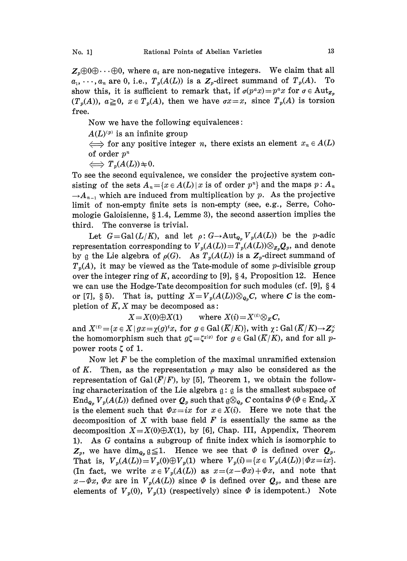$Z_p \oplus 0 \oplus \cdots \oplus 0$ , where  $a_i$  are non-negative integers. We claim that all  $a_1, \ldots, a_n$  are 0, i.e.,  $T_n(A(L))$  is a  $Z_n$ -direct summand of  $T_n(A)$ . To  $a_1, \dots, a_n$  are 0, i.e.,  $T_p(A(L))$  is a  $\mathbb{Z}_p$ -direct summand of  $T_p(A)$ . show this, it is sufficient to remark that, if  $\sigma(p^a x) = p^a x$  for  $\sigma \in \text{Aut}_{Z_p}$  $(T_p(A)), a\geq 0, x \in T_p(A)$ , then we have  $\sigma x=x$ , since  $T_p(A)$  is torsion free.

Now we have the following equivalences:

 $A(L)^{(p)}$  is an infinite group

 $\iff$  for any positive integer n, there exists an element  $x_n \in A(L)$ of order  $p^n$ 

 $\iff T_p(A(L)) \neq 0.$ 

To see the second equivalence, we consider the projective system consisting of the sets  $A_n = \{x \in A(L) | x$  is of order  $p^n\}$  and the maps  $p : A_n$  $-A_{n-1}$  which are induced from multiplication by p. As the projective limit of non-empty finite sets is non-empty (see, e.g., Serre, Cohomologie Galoisienne,  $§ 1.4$ , Lemme 3), the second assertion implies the third. The converse is trivial.

Let  $G = \text{Gal}(L/K)$ , and let  $\rho: G \to \text{Aut}_{Q_p} V_p(A(L))$  be the p-adic representation corresponding to  $V_p(A(L)) = T_p(A(L)) \otimes_{Z_p} Q_p$ , and denote by g the Lie algebra of  $\rho(G)$ . As  $T_p(A(L))$  is a  $\mathbb{Z}_p$ -direct summand of  $T_p(A)$ , it may be viewed as the Tate-module of some *p*-divisible group over the integer ring of K, according to [9],  $\S 4$ , Proposition 12. Hence we can use the Hodge-Tate decomposition for such modules (cf. [9],  $\S 4$ or [7], § 5). That is, putting  $X = V_p(A(L))\otimes_{Q_p}C$ , where C is the completion of  $\overline{K}$ ,  $X$  may be decomposed as:

 $X = X(0) \oplus X(1)$  where  $X(i) = X^{(i)} \otimes_{K} C$ ,

and  $X^{(i)} = \{x \in X \mid gx = \chi(g)^i x, \text{ for } g \in \text{Gal}(\overline{K}/K)\},\text{ with } \chi: \text{Gal}(\overline{K}/K) \to \mathbb{Z}_p^{\times}$ the homomorphism such that  $g\zeta = \zeta^{\chi(g)}$  for  $g \in \text{Gal}(\overline{K}/K)$ , and for all ppower roots  $\zeta$  of 1.

Now let  $F$  be the completion of the maximal unramified extension of K. Then, as the representation  $\rho$  may also be considered as the representation of Gal( $\overline{F}/F$ ), by [5], Theorem 1, we obtain the following characterization of the Lie algebra  $g: g$  is the smallest subspace of  $\text{End}_{\mathfrak{g}_n} V_p(A(L))$  defined over  $\mathcal{Q}_p$  such that  $\mathfrak{g} \otimes_{\mathfrak{g}_p} C$  contains  $\Phi$  ( $\Phi \in \text{End}_C X$ is the element such that  $\Phi x=ix$  for  $x \in X(i)$ . Here we note that the decomposition of X with base field  $F$  is essentially the same as the decomposition  $X=X(0)\oplus X(1)$ , by [6], Chap. III, Appendix, Theorem 1). As G contains <sup>a</sup> subgroup of finite index which is isomorphic to 1). As G contains a subgroup of finite mask which is isomorphic to  $Z_p$ , we have  $\dim_{Q_p} g \leq 1$ . Hence we see that  $\Phi$  is defined over  $Q_p$ . That is,  $V_p(A(L)) = V_p(0) \oplus V_p(1)$  where  $V_p(i) = \{x \in V_p(A(L)) \mid \Phi x = ix\}.$ (In fact, we write  $x \in V_p(A(L))$  as  $x=(x-\Phi x)+\Phi x$ , and note that  $x - \Phi x$ ,  $\Phi x$  are in  $V_p(A(L))$  since  $\Phi$  is defined over  $Q_p$ , and these are elements of  $V_p(0)$ ,  $V_p(1)$  (respectively) since  $\Phi$  is idempotent.) Note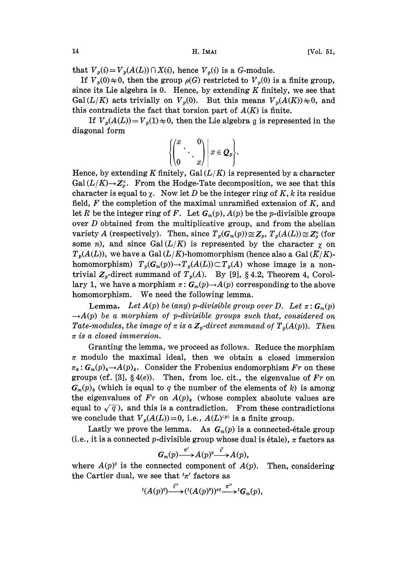that  $V_p(i) = V_p(A(L)) \cap X(i)$ , hence  $V_p(i)$  is a G-module.

If  $V_p(0) \neq 0$ , then the group  $\rho(G)$  restricted to  $V_p(0)$  is a finite group, since its Lie algebra is 0. Hence, by extending  $K$  finitely, we see that Gal  $(L/K)$  acts trivially on  $V_p(0)$ . But this means  $V_p(A(K)) \neq 0$ , and this contradicts the fact that torsion part of  $A(K)$  is finite.

If  $V_p(A(L)) = V_p(1) \neq 0$ , then the Lie algebra g is represented in the diagonal form

$$
\left\{\begin{pmatrix} x & 0 \\ 0 & x \end{pmatrix} \middle| x \in Q_p \right\}.
$$

Hence, by extending K finitely, Gal  $(L/K)$  is represented by a character  $Gal (L/K) \rightarrow Z_r^{\times}$ . From the Hodge-Tate decomposition, we see that this character is equal to  $\chi$ . Now let D be the integer ring of K, k its residue field,  $F$  the completion of the maximal unramified extension of  $K$ , and let R be the integer ring of F. Let  $G_m(p)$ ,  $A(p)$  be the p-divisible groups over D obtained from the multiplicative group, and from the abelian variety A (respectively). Then, since  $T_p(G_m(p)) \cong Z_p$ ,  $T_p(A(L)) \cong Z_p^n$  (for some *n*), and since Gal( $L/K$ ) is represented by the character  $\gamma$  on  $T_p(A(L))$ , we have a Gal  $(L/K)$ -homomorphism (hence also a Gal  $(\overline{K}/K)$ homomorphism)  $T_p(G_m(p)) \to T_p(A(L)) \subset T_p(A)$  whose image is a nontrivial  $Z_p$ -direct summand of  $T_p(A)$ . By [9], § 4.2, Theorem 4, Corollary 1, we have a morphism  $\pi: G_m(p) \to A(p)$  corresponding to the above homomorphism. We need the following lemma.

**Lemma.** Let  $A(p)$  be (any) p-divisible group over D. Let  $\pi: G_m(p)$  $\rightarrow A(p)$  be a morphism of p-divisible groups such that, considered on Tate-modules, the image of  $\pi$  is a  $\mathbb{Z}_p$ -direct summand of  $T_p(A(p))$ . Then  $\pi$  is a closed immersion.

Granting the lemma, we proceed as follows. Reduce the morphism  $\pi$  modulo the maximal ideal, then we obtain a closed immersion  $\pi_k: \mathbf{G}_m(p)_k \to A(p)_k$ . Consider the Frobenius endomorphism Fr on these groups (cf. [3],  $\S(4(e))$ . Then, from loc. cit., the eigenvalue of Fr on  $G_m(p)_k$  (which is equal to q the number of the elements of k) is among the eigenvalues of  $Fr$  on  $A(p)_k$  (whose complex absolute values are equal to  $\sqrt{q}$ ), and this is a contradiction. From these contradictions we conclude that  $V_p(A(L))=0$ , i.e.,  $A(L)^{(p)}$  is a finite group.

Lastly we prove the lemma. As  $G_m(p)$  is a connected-étale group (i.e., it is a connected p-divisible group whose dual is étale),  $\pi$  factors as

$$
G_m(p) \stackrel{\pi'}{\longrightarrow} A(p)^0 \stackrel{i'}{\longrightarrow} A(p),
$$

where  $A(p)$ <sup>0</sup> is the connected component of  $A(p)$ . Then, considering the Cartier dual, we see that  ${}^{t}\pi'$  factors as<br> ${}^{t}(A \cap \mathbb{R}) \stackrel{i''}{=} (t(A \cap \mathbb{R}))^{t} \stackrel{\pi'}{=}$ 

$$
{}^{t}(A(p)^{0})\overbrace{\qquad \qquad }^{t^{\prime \prime }}\! \rightarrow \! ({}^{t}(A(p)^{0}))^{et}\overbrace{\qquad \qquad }^{t^{\prime \prime }}\! G_{m}(p),
$$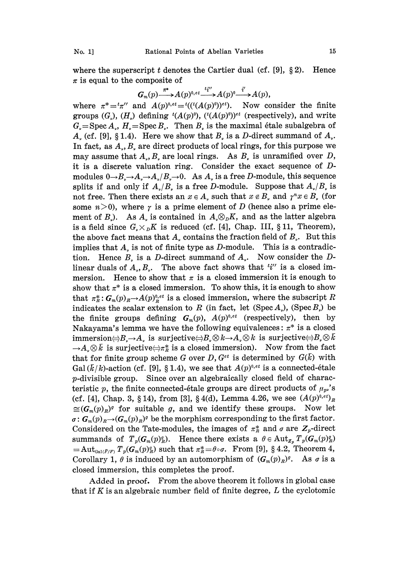where the superscript t denotes the Cartier dual (cf. [9],  $\S 2$ ). Hence  $\pi$  is equal to the composite of

$$
G_m(p) \overset{\pi^*}{\longrightarrow} A(p)^{0,\,et} \overset{t\bar{t}'''}{\longrightarrow} A(p)^0 \overset{\bar{t}'}{\longrightarrow} A(p),
$$

where  $\pi^* = \pi''$  and  $A(p)^{0,\text{et}} = \pi^{t}((t(A(p)^0))^{\text{et}})$ . Now consider the finite groups  $(G_{\nu})$ ,  $(H_{\nu})$  defining  $^{t}(A(p)^{0})$ ,  $(^{t}(A(p)^{0}))^{et}$  (respectively), and write  $G_{\alpha}$ =Spec A<sub>n</sub>, H<sub>n</sub>=Spec B<sub>n</sub>. Then B<sub>n</sub> is the maximal étale subalgebra of  $A<sub>v</sub>$  (cf. [9], § 1.4). Here we show that  $B<sub>v</sub>$  is a D-direct summand of  $A<sub>v</sub>$ . In fact, as  $A_{\nu}$ ,  $B_{\nu}$  are direct products of local rings, for this purpose we may assume that  $A_{\nu}$ ,  $B_{\nu}$  are local rings. As  $B_{\nu}$  is unramified over D, it is a discrete valuation ring. Consider the exact sequence of  $D$ modules  $0 \rightarrow B_{\nu} \rightarrow A_{\nu} \rightarrow A_{\nu}/B_{\nu} \rightarrow 0$ . As  $A_{\nu}$  is a free D-module, this sequence splits if and only if  $A_n/B_n$  is a free D-module. Suppose that  $A_n/B_n$  is not free. Then there exists an  $x \in A$ , such that  $x \notin B$ , and  $\gamma^n x \in B$ , (for some  $n>0$ , where  $\gamma$  is a prime element of D (hence also a prime element of  $B_{\nu}$ ). As  $A_{\nu}$  is contained in  $A_{\nu} \otimes_{D} K$ , and as the latter algebra<br>is a field since  $G_{\nu} \times_{D} K$  is reduced (cf. [4], Chap. III, § 11, Theorem), is a field since  $G_r \times_{\mathcal{D}} K$  is reduced (cf. [4], Chap. III, § 11, Theorem), the above fact means that  $A_r$  contains the fraction field of  $B_r$ . But this implies that  $A_{\nu}$  is not of finite type as *D*-module. This is a contradiction. Hence  $B_{\nu}$  is a *D*-direct summand of  $A_{\nu}$ . Now consider the *D*-Hence  $B<sub>v</sub>$  is a D-direct summand of  $A<sub>v</sub>$ . Now consider the Dlinear duals of  $A_{\nu}, B_{\nu}$ . The above fact shows that  $i''$  is a closed immersion. Hence to show that  $\pi$  is a closed immersion it is enough to show that  $\pi^*$  is a closed immersion. To show this, it is enough to show that  $\pi^*_E$ :  $G_m(p)_{R} \rightarrow A(p)_{R}^{0,\epsilon t}$  is a closed immersion, where the subscript R indicates the scalar extension to R (in fact, let (Spec  $A_{\nu}$ ), (Spec  $B_{\nu}$ ) be the finite groups defining  $G_m(p)$ ,  $A(p)^{0,et}$  (respectively), then by Nakayama's lemma we have the following equivalences:  $\pi^*$  is a closed immersion $\ominus B$ -A is surjective $\ominus B$   $\otimes k \rightarrow A$   $\otimes k$  is surjective $\ominus B$   $\otimes k$  $\rightarrow A_{\nu} \otimes \bar{k}$  is surjective $\Longleftrightarrow \pi_R^*$  is a closed immersion). Now from the fact that for finite group scheme G over  $D, G^{et}$  is determined by  $G(\bar{k})$  with Gal  $(\bar{k}/k)$ -action (cf. [9], § 1.4), we see that  $A(p)^{0,\epsilon t}$  is a connected-étale p-divisible group. Since over an algebraically closed field of characteristic p, the finite connected-étale groups are direct products of  $\mu_{p}$ 's (cf. [4], Chap. 3, § 14), from [3], § 4(d), Lemma 4.26, we see  $(A(p)^{0,\ell})_R$  $\cong$   $(G_m(p)_R)^g$  for suitable g, and we identify these groups. Now let  $\sigma:$   $G_m(p)_{R}$   $\rightarrow$   $(G_m(p)_{R})^g$  be the morphism corresponding to the first factor. Considered on the Tate-modules, the images of  $\pi_R^*$  and  $\sigma$  are  $Z_p$ -direct<br>summands of  $T(G_n|\ell)$ . Hence there exists a  $\theta \in \text{Aut}_T$ ,  $T_n(G_n|\ell)$ summands of  $T_p(G_m(p)_{\scriptscriptstyle R}^q)$ . Hence there exists a  $\theta \in \mathrm{Aut}_{Z_p} T_p(G_m(p)_{\scriptscriptstyle R}^q)$  $=\mathrm{Aut}_{\text{Gal}(\bar{F}/F)} T_p(G_m(p)_{\mathbb{R}}^q)$  such that  $\pi_{\mathbb{R}}^*=\theta\circ\sigma$ . From [9], § 4.2, Theorem 4, Corollary 1,  $\theta$  is induced by an automorphism of  $(G_m(p)_R)^g$ . As  $\sigma$  is a closed immersion, this completes the proof.

Added in proof. From the above theorem it follows in global case that if K is an algebraic number field of finite degree,  $L$  the cyclotomic